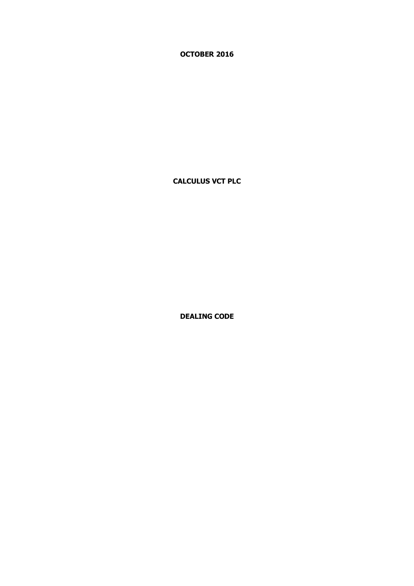**OCTOBER 2016**

**CALCULUS VCT PLC**

**DEALING CODE**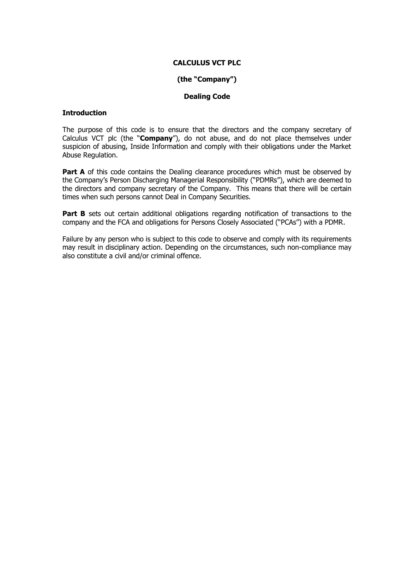### **CALCULUS VCT PLC**

#### **(the "Company")**

#### **Dealing Code**

#### **Introduction**

The purpose of this code is to ensure that the directors and the company secretary of Calculus VCT plc (the "**Company**"), do not abuse, and do not place themselves under suspicion of abusing, Inside Information and comply with their obligations under the Market Abuse Regulation.

**Part A** of this code contains the Dealing clearance procedures which must be observed by the Company's Person Discharging Managerial Responsibility ("PDMRs"), which are deemed to the directors and company secretary of the Company. This means that there will be certain times when such persons cannot Deal in Company Securities.

Part B sets out certain additional obligations regarding notification of transactions to the company and the FCA and obligations for Persons Closely Associated ("PCAs") with a PDMR.

Failure by any person who is subject to this code to observe and comply with its requirements may result in disciplinary action. Depending on the circumstances, such non-compliance may also constitute a civil and/or criminal offence.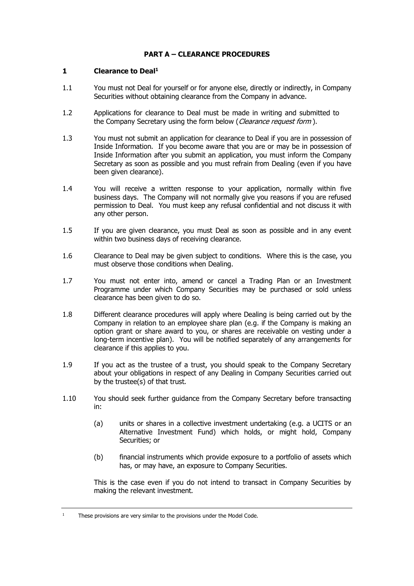# **PART A – CLEARANCE PROCEDURES**

### **1 Clearance to Deal<sup>1</sup>**

- 1.1 You must not Deal for yourself or for anyone else, directly or indirectly, in Company Securities without obtaining clearance from the Company in advance.
- 1.2 Applications for clearance to Deal must be made in writing and submitted to the [C](#page-7-0)ompany Secretary using the form below (C[learance request form](#page-7-1)).
- 1.3 You must not submit an application for clearance to Deal if you are in possession of Inside Information. If you become aware that you are or may be in possession of Inside Information after you submit an application, you must inform the Company Secretary as soon as possible and you must refrain from Dealing (even if you have been given clearance).
- 1.4 You will receive a written response to your application, normally within five business days. The Company will not normally give you reasons if you are refused permission to Deal. You must keep any refusal confidential and not discuss it with any other person.
- 1.5 If you are given clearance, you must Deal as soon as possible and in any event within two business days of receiving clearance.
- 1.6 Clearance to Deal may be given subject to conditions. Where this is the case, you must observe those conditions when Dealing.
- 1.7 You must not enter into, amend or cancel a Trading Plan or an Investment Programme under which Company Securities may be purchased or sold unless clearance has been given to do so.
- 1.8 Different clearance procedures will apply where Dealing is being carried out by the Company in relation to an employee share plan (e.g. if the Company is making an option grant or share award to you, or shares are receivable on vesting under a long-term incentive plan). You will be notified separately of any arrangements for clearance if this applies to you.
- 1.9 If you act as the trustee of a trust, you should speak to the Company Secretary about your obligations in respect of any Dealing in Company Securities carried out by the trustee(s) of that trust.
- 1.10 You should seek further guidance from the Company Secretary before transacting in:
	- (a) units or shares in a collective investment undertaking (e.g. a UCITS or an Alternative Investment Fund) which holds, or might hold, Company Securities; or
	- (b) financial instruments which provide exposure to a portfolio of assets which has, or may have, an exposure to Company Securities.

This is the case even if you do not intend to transact in Company Securities by making the relevant investment.

<sup>&</sup>lt;sup>1</sup> These provisions are very similar to the provisions under the Model Code.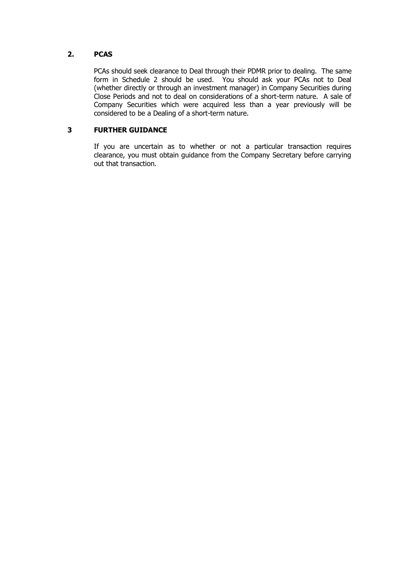# **2. PCAS**

PCAs should seek clearance to Deal through their PDMR prior to dealing. The same form in Schedule 2 should be used. You should ask your PCAs not to Deal (whether directly or through an investment manager) in Company Securities during Close Periods and not to deal on considerations of a short-term nature. A sale of Company Securities which were acquired less than a year previously will be considered to be a Dealing of a short-term nature.

# **3 FURTHER GUIDANCE**

If you are uncertain as to whether or not a particular transaction requires clearance, you must obtain guidance from the Company Secretary before carrying out that transaction.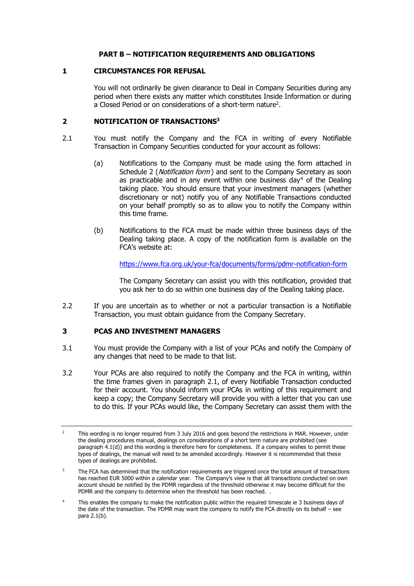## **PART B – NOTIFICATION REQUIREMENTS AND OBLIGATIONS**

### **1 CIRCUMSTANCES FOR REFUSAL**

You will not ordinarily be given clearance to Deal in Company Securities during any period when there exists any matter which constitutes Inside Information or during a Closed Period or on considerations of a short-term nature<sup>2</sup>.

## <span id="page-4-0"></span>**2 NOTIFICATION OF TRANSACTIONS<sup>3</sup>**

- 2.1 You must notify the Company and the FCA in writing of every Notifiable Transaction in Company Securities conducted for your account as follows:
	- (a) Notifications to the Company must be made using the form attached in [Schedule 2](#page-9-0) (*Notification form*) and sent to the Company Secretary as soon as practicable and in any event within one business day<sup>4</sup> of the Dealing taking place. You should ensure that your investment managers (whether discretionary or not) notify you of any Notifiable Transactions conducted on your behalf promptly so as to allow you to notify the Company within this time frame.
	- (b) Notifications to the FCA must be made within three business days of the Dealing taking place. A copy of the notification form is available on the FCA's website at:

<https://www.fca.org.uk/your-fca/documents/forms/pdmr-notification-form>

The Company Secretary can assist you with this notification, provided that you ask her to do so within one business day of the Dealing taking place.

2.2 If you are uncertain as to whether or not a particular transaction is a Notifiable Transaction, you must obtain guidance from the Company Secretary.

# **3 PCAS AND INVESTMENT MANAGERS**

- 3.1 You must provide the Company with a list of your PCAs and notify the Company of any changes that need to be made to that list.
- 3.2 Your PCAs are also required to notify the Company and the FCA in writing, within the time frames given in paragraph [2.1,](#page-4-0) of every Notifiable Transaction conducted for their account. You should inform your PCAs in writing of this requirement and keep a copy; the Company Secretary will provide you with a letter that you can use to do this. If your PCAs would like, the Company Secretary can assist them with the

<sup>&</sup>lt;sup>2</sup> This wording is no longer required from 3 July 2016 and goes beyond the restrictions in MAR. However, under the dealing procedures manual, dealings on considerations of a short term nature are prohibited (see paragraph 4.1(d)) and this wording is therefore here for completeness. If a company wishes to permit these types of dealings, the manual will need to be amended accordingly. However it is recommended that these types of dealings are prohibited.

<sup>&</sup>lt;sup>3</sup> The FCA has determined that the notification requirements are triggered once the total amount of transactions has reached EUR 5000 within a calendar year. The Company's view is that all transactions conducted on own account should be notified by the PDMR regardless of the threshold otherwise it may become difficult for the PDMR and the company to determine when the threshold has been reached.

<sup>&</sup>lt;sup>4</sup> This enables the company to make the notification public within the required timescale ie 3 business days of the date of the transaction. The PDMR may want the company to notify the FCA directly on its behalf – see para 2.1(b).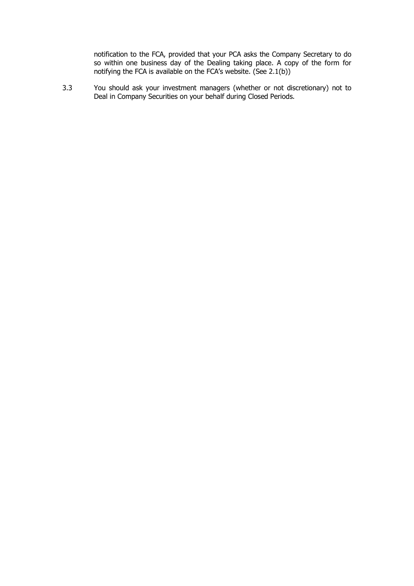notification to the FCA, provided that your PCA asks the Company Secretary to do so within one business day of the Dealing taking place. A copy of the form for notifying the FCA is available on the FCA's website. (See 2.1(b))

3.3 You should ask your investment managers (whether or not discretionary) not to Deal in Company Securities on your behalf during Closed Periods.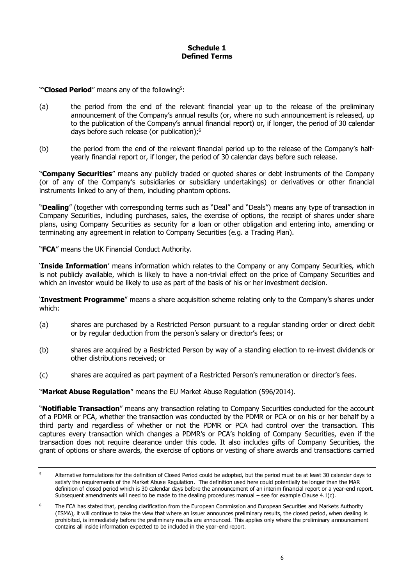### **Schedule 1 Defined Terms**

"**Closed Period**" means any of the following<sup>5</sup>:

- (a) the period from the end of the relevant financial year up to the release of the preliminary announcement of the Company's annual results (or, where no such announcement is released, up to the publication of the Company's annual financial report) or, if longer, the period of 30 calendar days before such release (or publication);<sup>6</sup>
- (b) the period from the end of the relevant financial period up to the release of the Company's halfyearly financial report or, if longer, the period of 30 calendar days before such release.

"**Company Securities**" means any publicly traded or quoted shares or debt instruments of the Company (or of any of the Company's subsidiaries or subsidiary undertakings) or derivatives or other financial instruments linked to any of them, including phantom options.

"**Dealing**" (together with corresponding terms such as "Deal" and "Deals") means any type of transaction in Company Securities, including purchases, sales, the exercise of options, the receipt of shares under share plans, using Company Securities as security for a loan or other obligation and entering into, amending or terminating any agreement in relation to Company Securities (e.g. a Trading Plan).

"**FCA**" means the UK Financial Conduct Authority.

'**Inside Information**' means information which relates to the Company or any Company Securities, which is not publicly available, which is likely to have a non-trivial effect on the price of Company Securities and which an investor would be likely to use as part of the basis of his or her investment decision.

'**Investment Programme**" means a share acquisition scheme relating only to the Company's shares under which:

- (a) shares are purchased by a Restricted Person pursuant to a regular standing order or direct debit or by regular deduction from the person's salary or director's fees; or
- (b) shares are acquired by a Restricted Person by way of a standing election to re-invest dividends or other distributions received; or
- (c) shares are acquired as part payment of a Restricted Person's remuneration or director's fees.

"**Market Abuse Regulation**" means the EU Market Abuse Regulation (596/2014).

"**Notifiable Transaction**" means any transaction relating to Company Securities conducted for the account of a PDMR or PCA, whether the transaction was conducted by the PDMR or PCA or on his or her behalf by a third party and regardless of whether or not the PDMR or PCA had control over the transaction. This captures every transaction which changes a PDMR's or PCA's holding of Company Securities, even if the transaction does not require clearance under this code. It also includes gifts of Company Securities, the grant of options or share awards, the exercise of options or vesting of share awards and transactions carried

<sup>&</sup>lt;sup>5</sup> Alternative formulations for the definition of Closed Period could be adopted, but the period must be at least 30 calendar days to satisfy the requirements of the Market Abuse Regulation. The definition used here could potentially be longer than the MAR definition of closed period which is 30 calendar days before the announcement of an interim financial report or a year-end report. Subsequent amendments will need to be made to the dealing procedures manual – see for example Clause 4.1(c).

<sup>&</sup>lt;sup>6</sup> The FCA has stated that, pending clarification from the European Commission and European Securities and Markets Authority (ESMA), it will continue to take the view that where an issuer announces preliminary results, the closed period, when dealing is prohibited, is immediately before the preliminary results are announced. This applies only where the preliminary announcement contains all inside information expected to be included in the year-end report.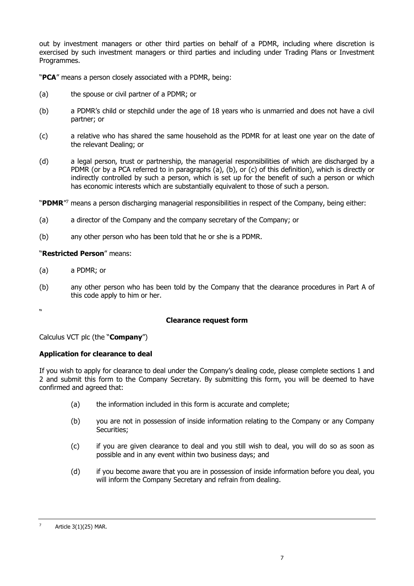out by investment managers or other third parties on behalf of a PDMR, including where discretion is exercised by such investment managers or third parties and including under Trading Plans or Investment Programmes.

"**PCA**" means a person closely associated with a PDMR, being:

- (a) the spouse or civil partner of a PDMR; or
- (b) a PDMR's child or stepchild under the age of 18 years who is unmarried and does not have a civil partner; or
- (c) a relative who has shared the same household as the PDMR for at least one year on the date of the relevant Dealing; or
- (d) a legal person, trust or partnership, the managerial responsibilities of which are discharged by a PDMR (or by a PCA referred to in paragraphs (a), (b), or (c) of this definition), which is directly or indirectly controlled by such a person, which is set up for the benefit of such a person or which has economic interests which are substantially equivalent to those of such a person.

"**PDMR**" 7 means a person discharging managerial responsibilities in respect of the Company, being either:

- (a) a director of the Company and the company secretary of the Company; or
- (b) any other person who has been told that he or she is a PDMR.

# "**Restricted Person**" means:

- (a) a PDMR; or
- (b) any other person who has been told by the Company that the clearance procedures in Part A of this code apply to him or her.

<span id="page-7-1"></span><span id="page-7-0"></span>**W** 

# **Clearance request form**

Calculus VCT plc (the "**Company**")

# **Application for clearance to deal**

If you wish to apply for clearance to deal under the Company's dealing code, please complete sections 1 and 2 and submit this form to the Company Secretary. By submitting this form, you will be deemed to have confirmed and agreed that:

- (a) the information included in this form is accurate and complete;
- (b) you are not in possession of inside information relating to the Company or any Company Securities;
- (c) if you are given clearance to deal and you still wish to deal, you will do so as soon as possible and in any event within two business days; and
- (d) if you become aware that you are in possession of inside information before you deal, you will inform the Company Secretary and refrain from dealing.

 $7$  Article 3(1)(25) MAR.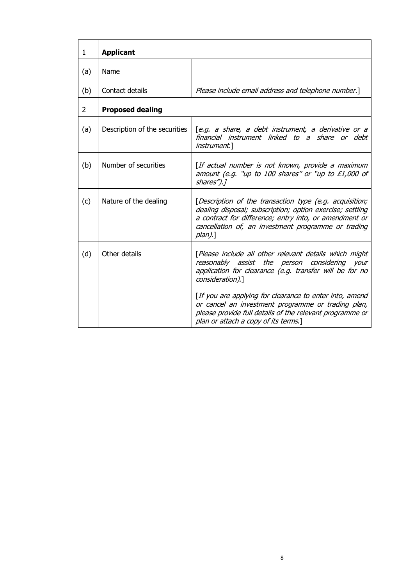| 1   | <b>Applicant</b>              |                                                                                                                                                                                                                                                     |  |  |  |
|-----|-------------------------------|-----------------------------------------------------------------------------------------------------------------------------------------------------------------------------------------------------------------------------------------------------|--|--|--|
| (a) | Name                          |                                                                                                                                                                                                                                                     |  |  |  |
| (b) | Contact details               | Please include email address and telephone number.]                                                                                                                                                                                                 |  |  |  |
| 2   | <b>Proposed dealing</b>       |                                                                                                                                                                                                                                                     |  |  |  |
| (a) | Description of the securities | [e.g. a share, a debt instrument, a derivative or a<br>financial instrument linked to a share or debt<br><i>instrument</i> .]                                                                                                                       |  |  |  |
| (b) | Number of securities          | [If actual number is not known, provide a maximum<br>amount (e.g. "up to 100 shares" or "up to £1,000 of<br>shares").]                                                                                                                              |  |  |  |
| (c) | Nature of the dealing         | [Description of the transaction type (e.g. acquisition;<br>dealing disposal; subscription; option exercise; settling<br>a contract for difference; entry into, or amendment or<br>cancellation of, an investment programme or trading<br>$plan$ ).] |  |  |  |
| (d) | Other details                 | [Please include all other relevant details which might<br>reasonably assist the person considering your<br>application for clearance (e.g. transfer will be for no<br>consideration).]                                                              |  |  |  |
|     |                               | [If you are applying for clearance to enter into, amend<br>or cancel an investment programme or trading plan,<br>please provide full details of the relevant programme or<br>plan or attach a copy of its terms.]                                   |  |  |  |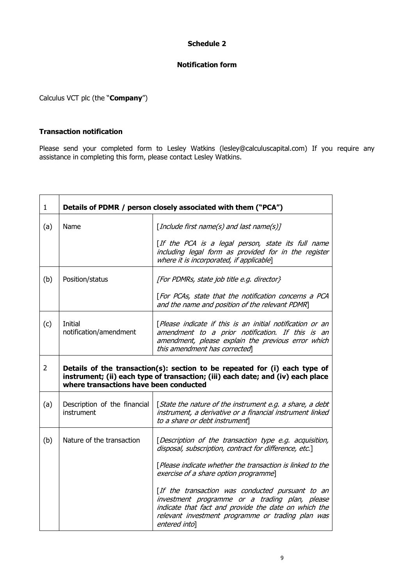# **Schedule 2**

## **Notification form**

<span id="page-9-0"></span>Calculus VCT plc (the "**Company**")

## **Transaction notification**

Please send your completed form to Lesley Watkins (lesley@calculuscapital.com) If you require any assistance in completing this form, please contact Lesley Watkins.

| $\mathbf{1}$   | Details of PDMR / person closely associated with them ("PCA")                                                                                                                                           |                                                                                                                                                                                                                                  |  |  |  |
|----------------|---------------------------------------------------------------------------------------------------------------------------------------------------------------------------------------------------------|----------------------------------------------------------------------------------------------------------------------------------------------------------------------------------------------------------------------------------|--|--|--|
| (a)            | Name                                                                                                                                                                                                    | [Include first name(s) and last name(s)]                                                                                                                                                                                         |  |  |  |
|                |                                                                                                                                                                                                         | [If the PCA is a legal person, state its full name<br>including legal form as provided for in the register<br>where it is incorporated, if applicable]                                                                           |  |  |  |
| (b)            | Position/status                                                                                                                                                                                         | [For PDMRs, state job title e.g. director}                                                                                                                                                                                       |  |  |  |
|                |                                                                                                                                                                                                         | [For PCAs, state that the notification concerns a PCA<br>and the name and position of the relevant PDMR]                                                                                                                         |  |  |  |
| (c)            | Initial<br>notification/amendment                                                                                                                                                                       | [Please indicate if this is an initial notification or an<br>amendment to a prior notification. If this is an<br>amendment, please explain the previous error which<br>this amendment has corrected                              |  |  |  |
| $\overline{2}$ | Details of the transaction(s): section to be repeated for (i) each type of<br>instrument; (ii) each type of transaction; (iii) each date; and (iv) each place<br>where transactions have been conducted |                                                                                                                                                                                                                                  |  |  |  |
| (a)            | Description of the financial<br>instrument                                                                                                                                                              | [State the nature of the instrument e.g. a share, a debt<br>instrument, a derivative or a financial instrument linked<br>to a share or debt instrument                                                                           |  |  |  |
| (b)            | Nature of the transaction                                                                                                                                                                               | [Description of the transaction type e.g. acquisition,<br>disposal, subscription, contract for difference, etc.]                                                                                                                 |  |  |  |
|                |                                                                                                                                                                                                         | [Please indicate whether the transaction is linked to the<br>exercise of a share option programme]                                                                                                                               |  |  |  |
|                |                                                                                                                                                                                                         | [If the transaction was conducted pursuant to an<br>investment programme or a trading plan, please<br>indicate that fact and provide the date on which the<br>relevant investment programme or trading plan was<br>entered into] |  |  |  |